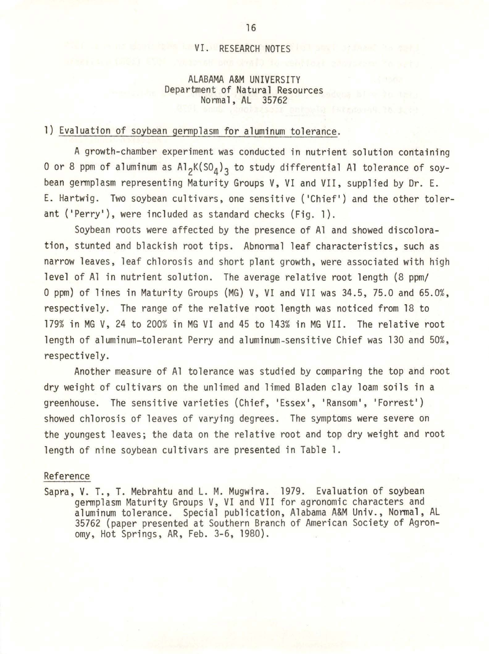#### VI. RESEARCH NOTES

### ALABAMA A&M UNIVERSITY Department of Natural Resources Normal, AL 35762

## l) Evaluation of soybean germplasm for aluminum tolerance.

A growth-chamber experiment was conducted in nutrient solution containing O or 8 ppm of aluminum as  $\mathsf{Al}_2\mathsf{K}(\mathsf{SO}_4)_{\mathsf{3}}$  to study differential Al tolerance of soybean germplasm representing Maturity Groups V, VI and VII, supplied by Dr. E. E. Hartwig. Two soybean cultivars, one sensitive ('Chief') and the other tolerant ('Perry'), were included as standard checks (Fig. 1).

Soybean roots were affected by the presence of Al and showed discoloration, stunted and blackish root tips. Abnormal leaf characteristics, such as narrow leaves, leaf chlorosis and short plant growth, were associated with high level of Al in nutrient solution. The average relative root length (8 ppm/ 0 ppm) of lines in Maturity Groups (MG) V, VI and VII was 34.5, 75.0 and 65.0%, respectively. The range of the relative root length was noticed from 18 to 179% in MG V, 24 to 200% in MG VI and 45 to 143% in MG VII . The relative root length of aluminum-tolerant Perry and aluminum-sensitive Chief was 130 and 50%, respectively.

Another measure of Al tolerance was studied by comparing the top and root dry weight of cultivars on the unlimed and limed Bladen clay loam soils in a greenhouse. The sensitive varieties (Chief, 'Essex', 'Ransom', 'Forrest') showed chlorosis of leaves of varying degrees. The symptoms were severe on the youngest leaves; the data on the relative root and top dry weight and root length of nine soybean cultivars are presented in Table 1.

#### Reference

Sapra, V. T., T. Mebrahtu and L. M. Mugwira. 1979. Evaluation of soybean germplasm Maturity Groups V, VI and VII for agronomic characters and aluminum tolerance. Special publication, Alabama A&M Univ., Normal, AL 35762 (paper presented at Southern Branch of American Society of Agronomy, Hot Springs, AR, Feb. 3-6, 1980) .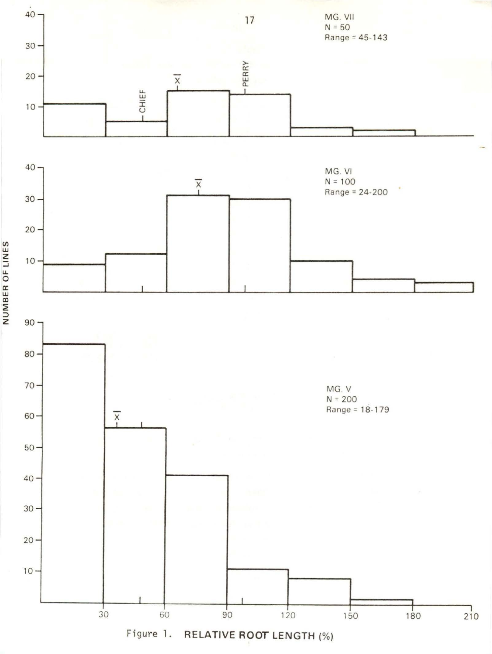